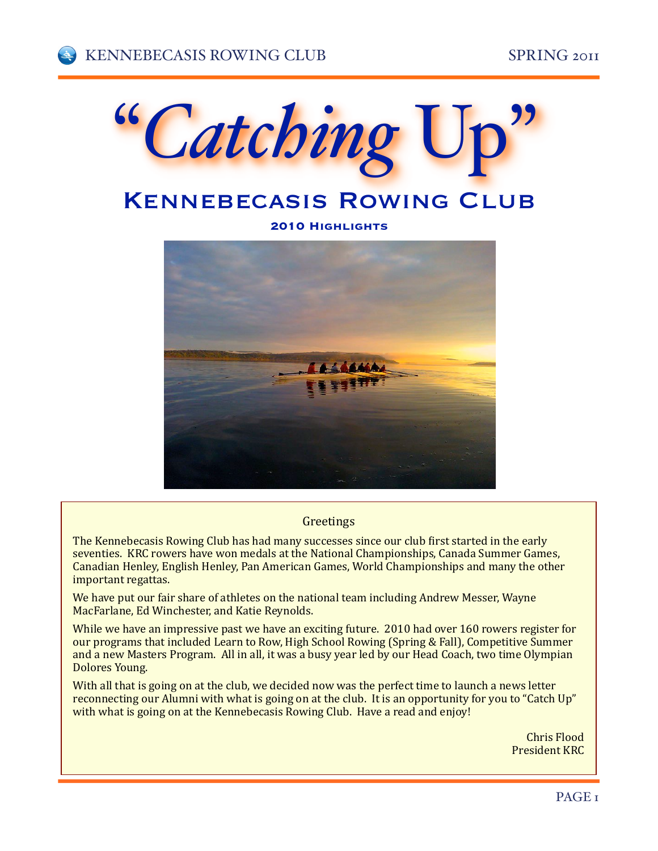

# **KENNEBECASIS ROWING CLUB**

**2010 Highlights**



#### **Greetings**

The Kennebecasis Rowing Club has had many successes since our club first started in the early seventies. KRC rowers have won medals at the National Championships, Canada Summer Games, Canadian Henley, English Henley, Pan American Games, World Championships and many the other important regattas.

We have put our fair share of athletes on the national team including Andrew Messer, Wayne MacFarlane, Ed Winchester, and Katie Reynolds.

While we have an impressive past we have an exciting future. 2010 had over 160 rowers register for our programs that included Learn to Row, High School Rowing (Spring & Fall), Competitive Summer and a new Masters Program. All in all, it was a busy year led by our Head Coach, two time Olympian Dolores Young.

With all that is going on at the club, we decided now was the perfect time to launch a news letter reconnecting our Alumni with what is going on at the club. It is an opportunity for you to "Catch Up" with what is going on at the Kennebecasis Rowing Club. Have a read and enjoy!

> Chris+Flood President KRC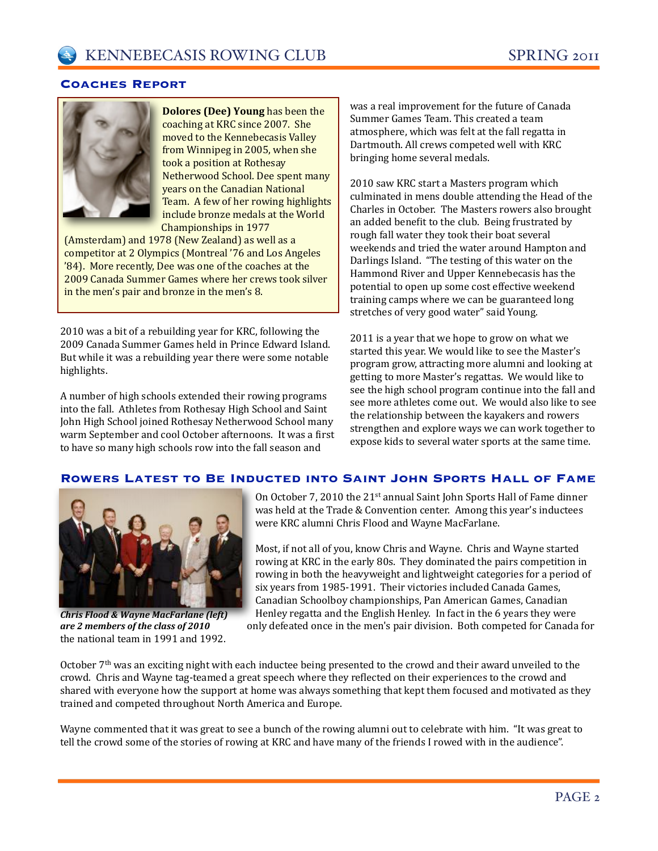### **Coaches Report**



**Dolores (Dee) Young** has been the coaching at KRC since 2007. She moved to the Kennebecasis Valley from Winnipeg in 2005, when she took a position at Rothesay Netherwood School. Dee spent many years on the Canadian National Team. A few of her rowing highlights include bronze medals at the World Championships in 1977

(Amsterdam) and  $1978$  (New Zealand) as well as a competitor at 2 Olympics (Montreal '76 and Los Angeles '84). More recently, Dee was one of the coaches at the 2009 Canada Summer Games where her crews took silver in the men's pair and bronze in the men's 8.

2010 was a bit of a rebuilding year for KRC, following the 2009 Canada Summer Games held in Prince Edward Island. But while it was a rebuilding year there were some notable highlights.

A number of high schools extended their rowing programs into the fall. Athletes from Rothesay High School and Saint John High School joined Rothesay Netherwood School many warm September and cool October afternoons. It was a first to have so many high schools row into the fall season and

was a real improvement for the future of Canada Summer Games Team. This created a team atmosphere, which was felt at the fall regatta in Dartmouth. All crews competed well with KRC bringing home several medals.

2010 saw KRC start a Masters program which culminated in mens double attending the Head of the Charles in October. The Masters rowers also brought an added benefit to the club. Being frustrated by rough fall water they took their boat several weekends and tried the water around Hampton and Darlings Island. "The testing of this water on the Hammond River and Upper Kennebecasis has the potential to open up some cost effective weekend training camps where we can be guaranteed long stretches of very good water" said Young.

2011 is a year that we hope to grow on what we started this year. We would like to see the Master's program grow, attracting more alumni and looking at getting to more Master's regattas. We would like to see the high school program continue into the fall and see more athletes come out. We would also like to see the relationship between the kayakers and rowers strengthen and explore ways we can work together to expose kids to several water sports at the same time.

## **Rowers Latest to Be Inducted into Saint John Sports Hall of Fame**



the national team in 1991 and 1992. *Chris&Flood&&&Wayne&MacFarlane&(left)& are&2&members&of&the&class&of&2010*

On October 7, 2010 the 21st annual Saint John Sports Hall of Fame dinner was held at the Trade & Convention center. Among this year's inductees were KRC alumni Chris Flood and Wayne MacFarlane.

Most, if not all of you, know Chris and Wayne. Chris and Wayne started rowing at KRC in the early 80s. They dominated the pairs competition in rowing in both the heavyweight and lightweight categories for a period of six years from 1985-1991. Their victories included Canada Games, Canadian Schoolboy championships, Pan American Games, Canadian Henley regatta and the English Henley. In fact in the 6 years they were

only defeated once in the men's pair division. Both competed for Canada for

October 7<sup>th</sup> was an exciting night with each inductee being presented to the crowd and their award unveiled to the crowd. Chris and Wayne tag-teamed a great speech where they reflected on their experiences to the crowd and shared with everyone how the support at home was always something that kept them focused and motivated as they trained and competed throughout North America and Europe.

Wayne commented that it was great to see a bunch of the rowing alumni out to celebrate with him. "It was great to tell the crowd some of the stories of rowing at KRC and have many of the friends I rowed with in the audience".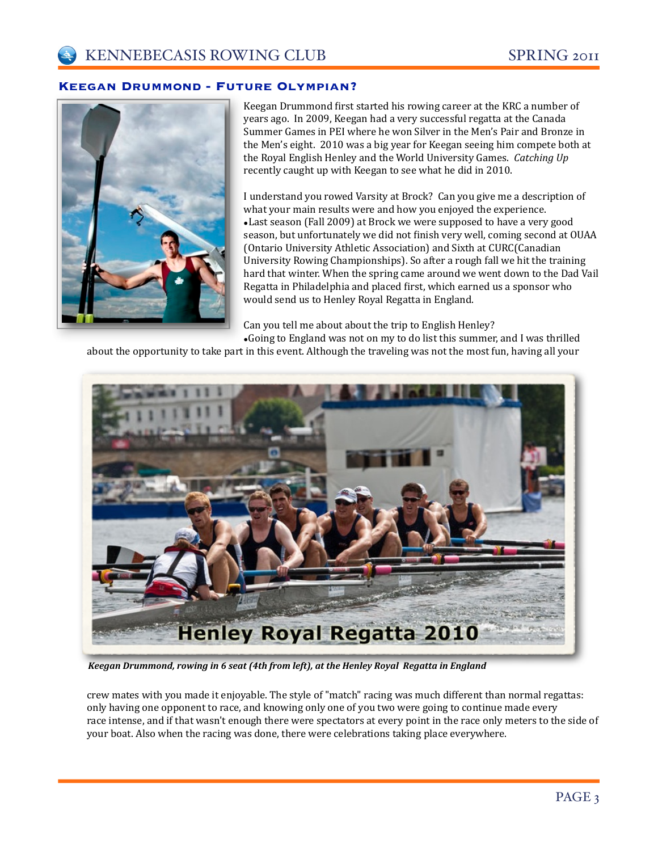#### **Keegan Drummond - Future Olympian?**



Keegan Drummond first started his rowing career at the KRC a number of years ago. In 2009, Keegan had a very successful regatta at the Canada Summer Games in PEI where he won Silver in the Men's Pair and Bronze in the Men's eight. 2010 was a big year for Keegan seeing him compete both at the Royal English Henley and the World University Games. Catching Up recently caught up with Keegan to see what he did in 2010.

I understand you rowed Varsity at Brock? Can you give me a description of what your main results were and how you enjoyed the experience. •Last season (Fall 2009) at Brock we were supposed to have a very good season, but unfortunately we did not finish very well, coming second at OUAA (Ontario University Athletic Association) and Sixth at CURC(Canadian University Rowing Championships). So after a rough fall we hit the training hard that winter. When the spring came around we went down to the Dad Vail Regatta in Philadelphia and placed first, which earned us a sponsor who would send us to Henley Royal Regatta in England.

Can you tell me about about the trip to English Henley? •Going to England was not on my to do list this summer, and I was thrilled

about the opportunity to take part in this event. Although the traveling was not the most fun, having all your



Keegan Drummond, rowing in 6 seat (4th from left), at the Henley Royal Regatta in England

crew mates with you made it enjoyable. The style of "match" racing was much different than normal regattas: only having one opponent to race, and knowing only one of you two were going to continue made every race intense, and if that wasn't enough there were spectators at every point in the race only meters to the side of your boat. Also when the racing was done, there were celebrations taking place everywhere.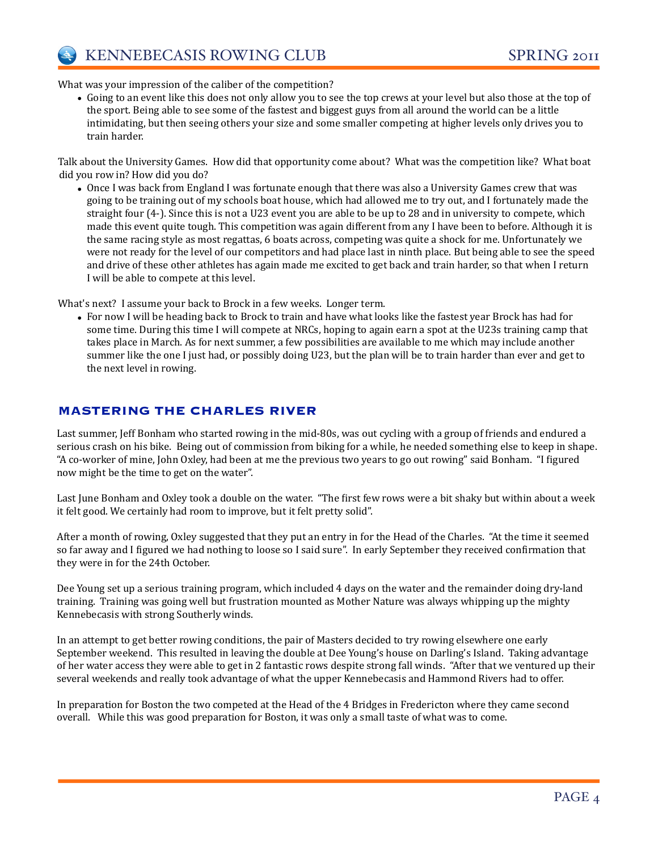

What was your impression of the caliber of the competition?

• Going to an event like this does not only allow you to see the top crews at your level but also those at the top of the sport. Being able to see some of the fastest and biggest guys from all around the world can be a little intimidating, but then seeing others your size and some smaller competing at higher levels only drives you to train harder.

Talk about the University Games. How did that opportunity come about? What was the competition like? What boat did you row in? How did you do?

• Once I was back from England I was fortunate enough that there was also a University Games crew that was going to be training out of my schools boat house, which had allowed me to try out, and I fortunately made the straight four (4-). Since this is not a U23 event you are able to be up to 28 and in university to compete, which made this event quite tough. This competition was again different from any I have been to before. Although it is the same racing style as most regattas, 6 boats across, competing was quite a shock for me. Unfortunately we were not ready for the level of our competitors and had place last in ninth place. But being able to see the speed and drive of these other athletes has again made me excited to get back and train harder, so that when I return I will be able to compete at this level.

What's next? I assume your back to Brock in a few weeks. Longer term.

• For now I will be heading back to Brock to train and have what looks like the fastest year Brock has had for some time. During this time I will compete at NRCs, hoping to again earn a spot at the U23s training camp that takes place in March. As for next summer, a few possibilities are available to me which may include another summer like the one I just had, or possibly doing U23, but the plan will be to train harder than ever and get to the next level in rowing.

## **MASTERING THE CHARLES RIVER**

Last summer, Jeff Bonham who started rowing in the mid-80s, was out cycling with a group of friends and endured a serious crash on his bike. Being out of commission from biking for a while, he needed something else to keep in shape. "A co-worker of mine, John Oxley, had been at me the previous two years to go out rowing" said Bonham. "I figured now might be the time to get on the water".

Last June Bonham and Oxley took a double on the water. "The first few rows were a bit shaky but within about a week it felt good. We certainly had room to improve, but it felt pretty solid".

After a month of rowing, Oxley suggested that they put an entry in for the Head of the Charles. "At the time it seemed so far away and I figured we had nothing to loose so I said sure". In early September they received confirmation that they were in for the 24th October.

Dee Young set up a serious training program, which included 4 days on the water and the remainder doing dry-land training. Training was going well but frustration mounted as Mother Nature was always whipping up the mighty Kennebecasis with strong Southerly winds.

In an attempt to get better rowing conditions, the pair of Masters decided to try rowing elsewhere one early September weekend. This resulted in leaving the double at Dee Young's house on Darling's Island. Taking advantage of her water access they were able to get in 2 fantastic rows despite strong fall winds. "After that we ventured up their several weekends and really took advantage of what the upper Kennebecasis and Hammond Rivers had to offer.

In preparation for Boston the two competed at the Head of the 4 Bridges in Fredericton where they came second overall. While this was good preparation for Boston, it was only a small taste of what was to come.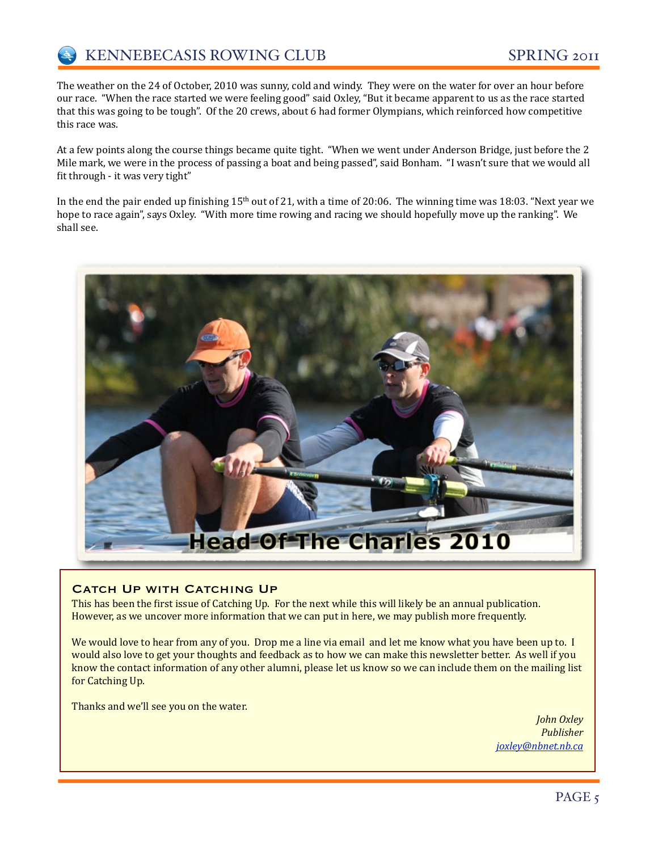The weather on the 24 of October, 2010 was sunny, cold and windy. They were on the water for over an hour before our race. "When the race started we were feeling good" said Oxley, "But it became apparent to us as the race started that this was going to be tough". Of the 20 crews, about 6 had former Olympians, which reinforced how competitive this race was.

At a few points along the course things became quite tight. "When we went under Anderson Bridge, just before the 2 Mile mark, we were in the process of passing a boat and being passed", said Bonham. "I wasn't sure that we would all fit through - it was very tight"

In the end the pair ended up finishing  $15<sup>th</sup>$  out of 21, with a time of 20:06. The winning time was 18:03. "Next year we hope to race again", says Oxley. "With more time rowing and racing we should hopefully move up the ranking". We shall see.



#### CATCH UP WITH CATCHING UP

This has been the first issue of Catching Up. For the next while this will likely be an annual publication. However, as we uncover more information that we can put in here, we may publish more frequently.

We would love to hear from any of you. Drop me a line via email and let me know what you have been up to. I would also love to get your thoughts and feedback as to how we can make this newsletter better. As well if you know the contact information of any other alumni, please let us know so we can include them on the mailing list for Catching Up.

Thanks and we'll see you on the water.

*John)Oxley Publisher [joxley@nbnet.nb.ca](mailto:joxley@nbnet.nb.ca)*